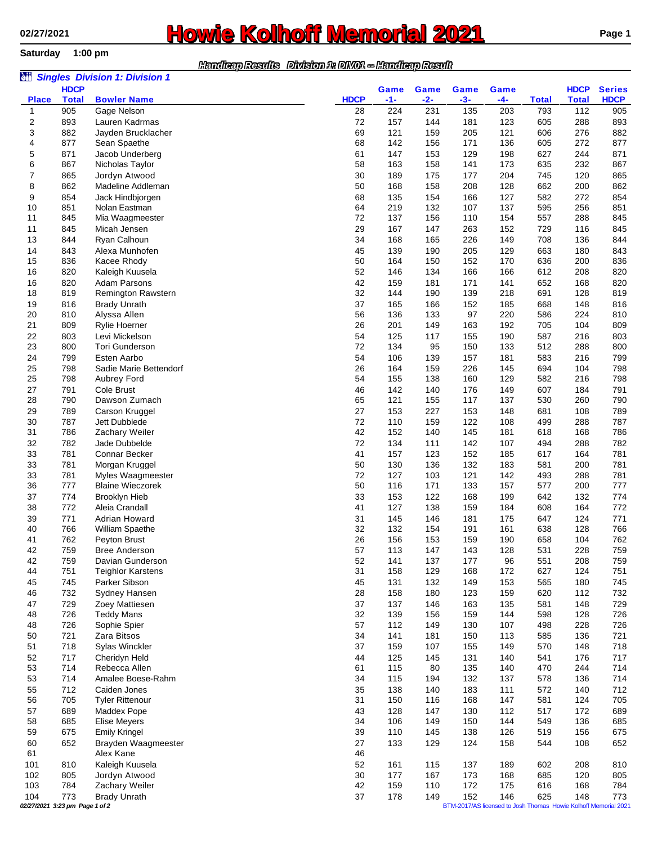**Saturday 1:00 pm**

## **Howie Kolhoff Memorial 2021 Page 1**

## *Handicap Results Division 1: DIV01 -- Handicap Result*

| èü                |                                                                                                   | <b>Singles Division 1: Division 1</b> |                   |              |              |              |            |                     |                     |                    |
|-------------------|---------------------------------------------------------------------------------------------------|---------------------------------------|-------------------|--------------|--------------|--------------|------------|---------------------|---------------------|--------------------|
|                   | <b>HDCP</b>                                                                                       |                                       |                   | Game         | Game         | Game         | Game       |                     | <b>HDCP</b>         | <b>Series</b>      |
| <b>Place</b><br>1 | <b>Total</b><br>905                                                                               | <b>Bowler Name</b><br>Gage Nelson     | <b>HDCP</b><br>28 | $-1-$<br>224 | $-2-$<br>231 | $-3-$<br>135 | -4-<br>203 | <b>Total</b><br>793 | <b>Total</b><br>112 | <b>HDCP</b><br>905 |
| 2                 | 893                                                                                               | Lauren Kadrmas                        | 72                | 157          | 144          | 181          | 123        | 605                 | 288                 | 893                |
| 3                 | 882                                                                                               | Jayden Brucklacher                    | 69                | 121          | 159          | 205          | 121        | 606                 | 276                 | 882                |
| 4                 | 877                                                                                               | Sean Spaethe                          | 68                | 142          | 156          | 171          | 136        | 605                 | 272                 | 877                |
| 5                 | 871                                                                                               | Jacob Underberg                       | 61                | 147          | 153          | 129          | 198        | 627                 | 244                 | 871                |
| 6                 | 867                                                                                               | Nicholas Taylor                       | 58                | 163          | 158          | 141          | 173        | 635                 | 232                 | 867                |
| 7                 | 865                                                                                               | Jordyn Atwood                         | 30                | 189          | 175          | 177          | 204        | 745                 | 120                 | 865                |
| 8                 | 862                                                                                               | Madeline Addleman                     | 50                | 168          | 158          | 208          | 128        | 662                 | 200                 | 862                |
| 9<br>10           | 854<br>851                                                                                        | Jack Hindbjorgen<br>Nolan Eastman     | 68<br>64          | 135<br>219   | 154<br>132   | 166<br>107   | 127<br>137 | 582<br>595          | 272<br>256          | 854<br>851         |
| 11                | 845                                                                                               | Mia Waagmeester                       | 72                | 137          | 156          | 110          | 154        | 557                 | 288                 | 845                |
| 11                | 845                                                                                               | Micah Jensen                          | 29                | 167          | 147          | 263          | 152        | 729                 | 116                 | 845                |
| 13                | 844                                                                                               | Ryan Calhoun                          | 34                | 168          | 165          | 226          | 149        | 708                 | 136                 | 844                |
| 14                | 843                                                                                               | Alexa Munhofen                        | 45                | 139          | 190          | 205          | 129        | 663                 | 180                 | 843                |
| 15                | 836                                                                                               | Kacee Rhody                           | 50                | 164          | 150          | 152          | 170        | 636                 | 200                 | 836                |
| 16                | 820                                                                                               | Kaleigh Kuusela                       | 52                | 146          | 134          | 166          | 166        | 612                 | 208                 | 820                |
| 16                | 820                                                                                               | Adam Parsons                          | 42                | 159          | 181          | 171          | 141        | 652                 | 168                 | 820                |
| 18                | 819                                                                                               | <b>Remington Rawstern</b>             | 32                | 144          | 190          | 139          | 218        | 691                 | 128                 | 819                |
| 19                | 816                                                                                               | <b>Brady Unrath</b>                   | 37                | 165          | 166          | 152          | 185        | 668                 | 148                 | 816                |
| 20<br>21          | 810<br>809                                                                                        | Alyssa Allen<br>Rylie Hoerner         | 56<br>26          | 136<br>201   | 133<br>149   | 97<br>163    | 220<br>192 | 586<br>705          | 224<br>104          | 810<br>809         |
| 22                | 803                                                                                               | Levi Mickelson                        | 54                | 125          | 117          | 155          | 190        | 587                 | 216                 | 803                |
| 23                | 800                                                                                               | <b>Tori Gunderson</b>                 | 72                | 134          | 95           | 150          | 133        | 512                 | 288                 | 800                |
| 24                | 799                                                                                               | Esten Aarbo                           | 54                | 106          | 139          | 157          | 181        | 583                 | 216                 | 799                |
| 25                | 798                                                                                               | Sadie Marie Bettendorf                | 26                | 164          | 159          | 226          | 145        | 694                 | 104                 | 798                |
| 25                | 798                                                                                               | Aubrey Ford                           | 54                | 155          | 138          | 160          | 129        | 582                 | 216                 | 798                |
| 27                | 791                                                                                               | Cole Brust                            | 46                | 142          | 140          | 176          | 149        | 607                 | 184                 | 791                |
| 28                | 790                                                                                               | Dawson Zumach                         | 65                | 121          | 155          | 117          | 137        | 530                 | 260                 | 790                |
| 29                | 789                                                                                               | Carson Kruggel                        | 27                | 153          | 227          | 153          | 148        | 681                 | 108                 | 789                |
| 30                | 787                                                                                               | Jett Dubblede                         | 72<br>42          | 110<br>152   | 159          | 122          | 108        | 499                 | 288                 | 787                |
| 31<br>32          | 786<br>782                                                                                        | Zachary Weiler<br>Jade Dubbelde       | 72                | 134          | 140<br>111   | 145<br>142   | 181<br>107 | 618<br>494          | 168<br>288          | 786<br>782         |
| 33                | 781                                                                                               | Connar Becker                         | 41                | 157          | 123          | 152          | 185        | 617                 | 164                 | 781                |
| 33                | 781                                                                                               | Morgan Kruggel                        | 50                | 130          | 136          | 132          | 183        | 581                 | 200                 | 781                |
| 33                | 781                                                                                               | Myles Waagmeester                     | 72                | 127          | 103          | 121          | 142        | 493                 | 288                 | 781                |
| 36                | 777                                                                                               | <b>Blaine Wieczorek</b>               | 50                | 116          | 171          | 133          | 157        | 577                 | 200                 | 777                |
| 37                | 774                                                                                               | <b>Brooklyn Hieb</b>                  | 33                | 153          | 122          | 168          | 199        | 642                 | 132                 | 774                |
| 38                | 772                                                                                               | Aleia Crandall                        | 41                | 127          | 138          | 159          | 184        | 608                 | 164                 | 772                |
| 39                | 771                                                                                               | Adrian Howard                         | 31                | 145          | 146          | 181          | 175        | 647                 | 124                 | 771                |
| 40                | 766                                                                                               | William Spaethe                       | 32                | 132          | 154          | 191          | 161        | 638                 | 128                 | 766                |
| 41<br>42          | 762                                                                                               | Peyton Brust                          | 26                | 156          | 153          | 159<br>143   | 190        | 658                 | 104<br>228          | 762<br>759         |
| 42                | 759<br>759                                                                                        | Bree Anderson<br>Davian Gunderson     | 57<br>52          | 113<br>141   | 147<br>137   | 177          | 128<br>96  | 531<br>551          | 208                 | 759                |
| 44                | 751                                                                                               | <b>Teighlor Karstens</b>              | 31                | 158          | 129          | 168          | 172        | 627                 | 124                 | 751                |
| 45                | 745                                                                                               | Parker Sibson                         | 45                | 131          | 132          | 149          | 153        | 565                 | 180                 | 745                |
| 46                | 732                                                                                               | Sydney Hansen                         | 28                | 158          | 180          | 123          | 159        | 620                 | 112                 | 732                |
| 47                | 729                                                                                               | Zoey Mattiesen                        | 37                | 137          | 146          | 163          | 135        | 581                 | 148                 | 729                |
| 48                | 726                                                                                               | <b>Teddy Mans</b>                     | 32                | 139          | 156          | 159          | 144        | 598                 | 128                 | 726                |
| 48                | 726                                                                                               | Sophie Spier                          | 57                | 112          | 149          | 130          | 107        | 498                 | 228                 | 726                |
| 50<br>51          | 721<br>718                                                                                        | Zara Bitsos<br>Sylas Winckler         | 34<br>37          | 141<br>159   | 181<br>107   | 150<br>155   | 113<br>149 | 585<br>570          | 136<br>148          | 721                |
| 52                | 717                                                                                               | Cheridyn Held                         | 44                | 125          | 145          | 131          | 140        | 541                 | 176                 | 718<br>717         |
| 53                | 714                                                                                               | Rebecca Allen                         | 61                | 115          | 80           | 135          | 140        | 470                 | 244                 | 714                |
| 53                | 714                                                                                               | Amalee Boese-Rahm                     | 34                | 115          | 194          | 132          | 137        | 578                 | 136                 | 714                |
| 55                | 712                                                                                               | Caiden Jones                          | 35                | 138          | 140          | 183          | 111        | 572                 | 140                 | 712                |
| 56                | 705                                                                                               | <b>Tyler Rittenour</b>                | 31                | 150          | 116          | 168          | 147        | 581                 | 124                 | 705                |
| 57                | 689                                                                                               | Maddex Pope                           | 43                | 128          | 147          | 130          | 112        | 517                 | 172                 | 689                |
| 58                | 685                                                                                               | Elise Meyers                          | 34                | 106          | 149          | 150          | 144        | 549                 | 136                 | 685                |
| 59                | 675                                                                                               | <b>Emily Kringel</b>                  | 39                | 110          | 145          | 138          | 126        | 519                 | 156                 | 675                |
| 60                | 652                                                                                               | Brayden Waagmeester                   | 27                | 133          | 129          | 124          | 158        | 544                 | 108                 | 652                |
| 61                |                                                                                                   | Alex Kane                             | 46                |              |              |              |            |                     |                     |                    |
| 101<br>102        | 810<br>805                                                                                        | Kaleigh Kuusela<br>Jordyn Atwood      | 52<br>30          | 161<br>177   | 115<br>167   | 137<br>173   | 189<br>168 | 602<br>685          | 208<br>120          | 810<br>805         |
| 103               | 784                                                                                               | Zachary Weiler                        | 42                | 159          | 110          | 172          | 175        | 616                 | 168                 | 784                |
| 104               | 773                                                                                               | <b>Brady Unrath</b>                   | 37                | 178          | 149          | 152          | 146        | 625                 | 148                 | 773                |
|                   | 02/27/2021 3:23 pm Page 1 of 2<br>BTM-2017/AS licensed to Josh Thomas Howie Kolhoff Memorial 2021 |                                       |                   |              |              |              |            |                     |                     |                    |